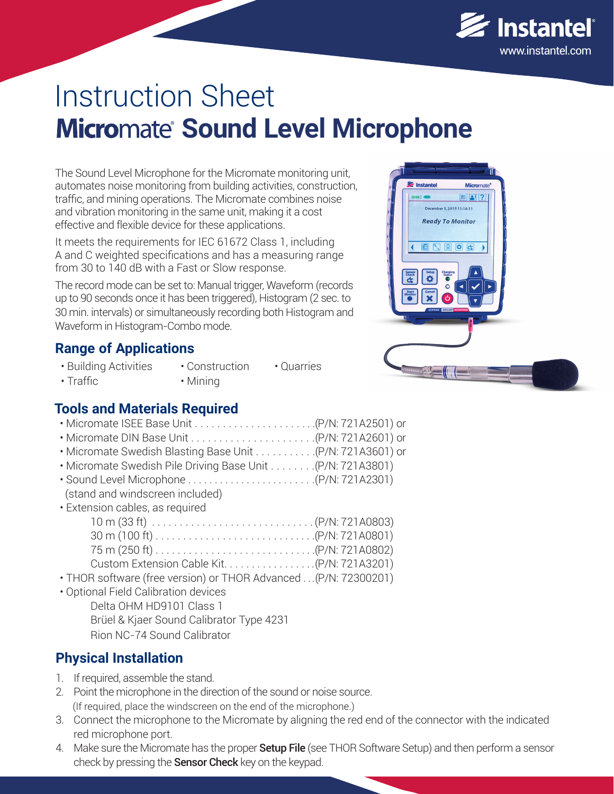

# Instruction Sheet **Micromate Sound Level Microphone**

The Sound Level Microphone for the Micromate monitoring unit, automates noise monitoring from building activities, construction, traffic, and mining operations. The Micromate combines noise and vibration monitoring in the same unit, making it a cost effective and flexible device for these applications.

It meets the requirements for IEC 61672 Class 1, including A and C weighted specifications and has a measuring range from 30 to 140 dB with a Fast or Slow response.

The record mode can be set to: Manual trigger, Waveform (records up to 90 seconds once it has been triggered), Histogram (2 sec. to 30 min. intervals) or simultaneously recording both Histogram and Waveform in Histogram-Combo mode.

## **Range of Applications**

- Building Activities
- Mining
- Construction • Quarries
- Traffic
- 
- **Tools and Materials Required**
- Micromate ISEE Base Unit . . . . . . . . . . . . . . . . . . . . . .(P/N: 721A2501) or
- Micromate DIN Base Unit . . . . . . . . . . . . . . . . . . . . . .(P/N: 721A2601) or
- Micromate Swedish Blasting Base Unit . . . . . . . . . . .(P/N: 721A3601) or
- Micromate Swedish Pile Driving Base Unit . . . . . . . .(P/N: 721A3801)
- Sound Level Microphone . . . . . . . . . . . . . . . . . . . . . . . .(P/N: 721A2301)
- (stand and windscreen included) • Extension cables, as required

| IIISIUI LUQNICS, QS TCYUIICU                                                                          |  |
|-------------------------------------------------------------------------------------------------------|--|
|                                                                                                       |  |
| $30 \text{ m} (100 \text{ ft}) \dots \dots \dots \dots \dots \dots \dots \dots \dots (P/N: 721A0801)$ |  |
|                                                                                                       |  |
|                                                                                                       |  |

- THOR software (free version) or THOR Advanced . . .(P/N: 72300201)
- Optional Field Calibration devices
	- Delta OHM HD9101 Class 1 Brüel & Kjaer Sound Calibrator Type 4231 Rion NC-74 Sound Calibrator

# **Physical Installation**

- 1. If required, assemble the stand.
- 2. Point the microphone in the direction of the sound or noise source. (If required, place the windscreen on the end of the microphone.)
- 3. Connect the microphone to the Micromate by aligning the red end of the connector with the indicated red microphone port.
- 4. Make sure the Micromate has the proper **Setup File** (see THOR Software Setup) and then perform a sensor check by pressing the **Sensor Check** key on the keypad.

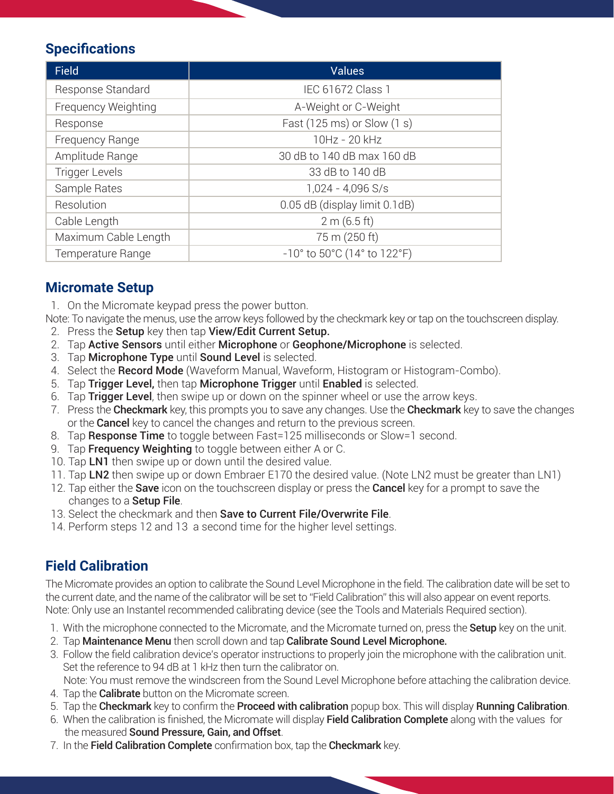## **Specifications**

| <b>Field</b>          | <b>Values</b>                                                        |
|-----------------------|----------------------------------------------------------------------|
| Response Standard     | IEC 61672 Class 1                                                    |
| Frequency Weighting   | A-Weight or C-Weight                                                 |
| Response              | Fast (125 ms) or Slow (1 s)                                          |
| Frequency Range       | 10Hz - 20 kHz                                                        |
| Amplitude Range       | 30 dB to 140 dB max 160 dB                                           |
| <b>Trigger Levels</b> | 33 dB to 140 dB                                                      |
| Sample Rates          | $1,024 - 4,096$ S/s                                                  |
| Resolution            | 0.05 dB (display limit 0.1dB)                                        |
| Cable Length          | 2 m (6.5 ft)                                                         |
| Maximum Cable Length  | 75 m (250 ft)                                                        |
| Temperature Range     | $-10^{\circ}$ to 50 $^{\circ}$ C (14 $^{\circ}$ to 122 $^{\circ}$ F) |

#### **Micromate Setup**

1. On the Micromate keypad press the power button.

Note: To navigate the menus, use the arrow keys followed by the checkmark key or tap on the touchscreen display.

- 2. Press the Setup key then tap View/Edit Current Setup.
- 2. Tap **Active Sensors** until either **Microphone** or **Geophone/Microphone** is selected.
- 3. Tap Microphone Type until Sound Level is selected.
- 4. Select the Record Mode (Waveform Manual, Waveform, Histogram or Histogram-Combo).
- 5. Tap Trigger Level, then tap Microphone Trigger until Enabled is selected.
- 6. Tap Trigger Level, then swipe up or down on the spinner wheel or use the arrow keys.
- 7. Press the **Checkmark** key, this prompts you to save any changes. Use the **Checkmark** key to save the changes or the **Cancel** key to cancel the changes and return to the previous screen.
- 8. Tap Response Time to toggle between Fast=125 milliseconds or Slow=1 second.
- 9. Tap **Frequency Weighting** to toggle between either A or C.
- 10. Tap LN1 then swipe up or down until the desired value.
- 11. Tap LN2 then swipe up or down Embraer E170 the desired value. (Note LN2 must be greater than LN1)
- 12. Tap either the **Save** icon on the touchscreen display or press the **Cancel** key for a prompt to save the changes to a Setup File.
- 13. Select the checkmark and then Save to Current File/Overwrite File.
- 14. Perform steps 12 and 13 a second time for the higher level settings.

## **Field Calibration**

The Micromate provides an option to calibrate the Sound Level Microphone in the field. The calibration date will be set to the current date, and the name of the calibrator will be set to "Field Calibration" this will also appear on event reports. Note: Only use an Instantel recommended calibrating device (see the Tools and Materials Required section).

- 1. With the microphone connected to the Micromate, and the Micromate turned on, press the Setup key on the unit.
- 2. Tap Maintenance Menu then scroll down and tap Calibrate Sound Level Microphone.
- 3. Follow the field calibration device's operator instructions to properly join the microphone with the calibration unit. Set the reference to 94 dB at 1 kHz then turn the calibrator on.

Note: You must remove the windscreen from the Sound Level Microphone before attaching the calibration device.

- 4. Tap the **Calibrate** button on the Micromate screen.
- 5. Tap the Checkmark key to confirm the Proceed with calibration popup box. This will display Running Calibration.
- 6. When the calibration is finished, the Micromate will display Field Calibration Complete along with the values for the measured **Sound Pressure, Gain, and Offset**.
- 7. In the Field Calibration Complete confirmation box, tap the Checkmark key.